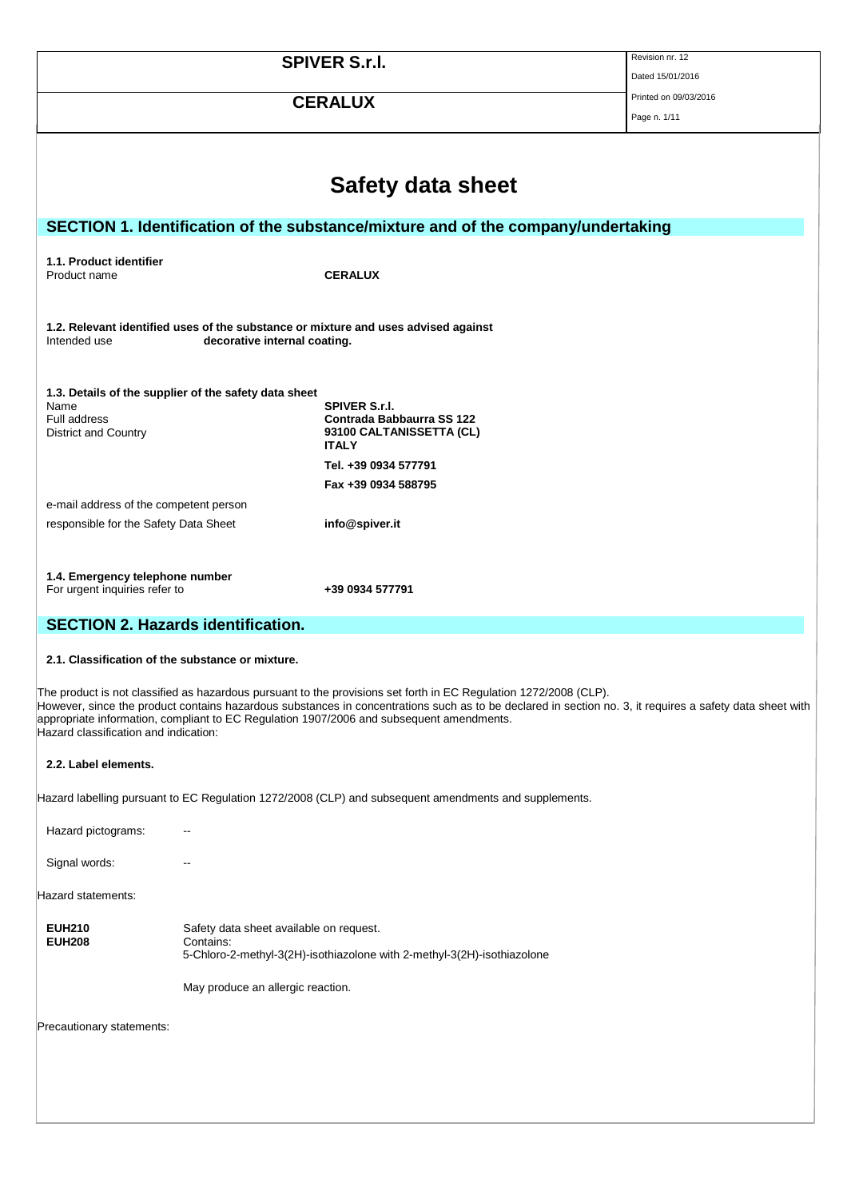|                                                                                 |                                                                                                                                                        | <b>SPIVER S.r.I.</b>                                                                                                                                                                                                                                                                                                                                                      | Revision nr. 12<br>Dated 15/01/2016   |  |  |  |
|---------------------------------------------------------------------------------|--------------------------------------------------------------------------------------------------------------------------------------------------------|---------------------------------------------------------------------------------------------------------------------------------------------------------------------------------------------------------------------------------------------------------------------------------------------------------------------------------------------------------------------------|---------------------------------------|--|--|--|
|                                                                                 |                                                                                                                                                        | <b>CERALUX</b>                                                                                                                                                                                                                                                                                                                                                            | Printed on 09/03/2016<br>Page n. 1/11 |  |  |  |
|                                                                                 |                                                                                                                                                        |                                                                                                                                                                                                                                                                                                                                                                           |                                       |  |  |  |
|                                                                                 | <b>Safety data sheet</b>                                                                                                                               |                                                                                                                                                                                                                                                                                                                                                                           |                                       |  |  |  |
|                                                                                 |                                                                                                                                                        | SECTION 1. Identification of the substance/mixture and of the company/undertaking                                                                                                                                                                                                                                                                                         |                                       |  |  |  |
| 1.1. Product identifier<br>Product name                                         |                                                                                                                                                        | <b>CERALUX</b>                                                                                                                                                                                                                                                                                                                                                            |                                       |  |  |  |
| Intended use                                                                    | decorative internal coating.                                                                                                                           | 1.2. Relevant identified uses of the substance or mixture and uses advised against                                                                                                                                                                                                                                                                                        |                                       |  |  |  |
| Name<br>Full address<br>District and Country                                    | 1.3. Details of the supplier of the safety data sheet<br><b>SPIVER S.r.I.</b><br>Contrada Babbaurra SS 122<br>93100 CALTANISSETTA (CL)<br><b>ITALY</b> |                                                                                                                                                                                                                                                                                                                                                                           |                                       |  |  |  |
|                                                                                 |                                                                                                                                                        | Tel. +39 0934 577791<br>Fax +39 0934 588795                                                                                                                                                                                                                                                                                                                               |                                       |  |  |  |
| e-mail address of the competent person<br>responsible for the Safety Data Sheet |                                                                                                                                                        | info@spiver.it                                                                                                                                                                                                                                                                                                                                                            |                                       |  |  |  |
| 1.4. Emergency telephone number<br>For urgent inquiries refer to                |                                                                                                                                                        | +39 0934 577791                                                                                                                                                                                                                                                                                                                                                           |                                       |  |  |  |
| <b>SECTION 2. Hazards identification.</b>                                       |                                                                                                                                                        |                                                                                                                                                                                                                                                                                                                                                                           |                                       |  |  |  |
| 2.1. Classification of the substance or mixture.                                |                                                                                                                                                        |                                                                                                                                                                                                                                                                                                                                                                           |                                       |  |  |  |
| Hazard classification and indication:                                           |                                                                                                                                                        | The product is not classified as hazardous pursuant to the provisions set forth in EC Regulation 1272/2008 (CLP).<br>However, since the product contains hazardous substances in concentrations such as to be declared in section no. 3, it requires a safety data sheet with<br>appropriate information, compliant to EC Regulation 1907/2006 and subsequent amendments. |                                       |  |  |  |
| 2.2. Label elements.                                                            |                                                                                                                                                        |                                                                                                                                                                                                                                                                                                                                                                           |                                       |  |  |  |
|                                                                                 |                                                                                                                                                        | Hazard labelling pursuant to EC Regulation 1272/2008 (CLP) and subsequent amendments and supplements.                                                                                                                                                                                                                                                                     |                                       |  |  |  |
| Hazard pictograms:                                                              |                                                                                                                                                        |                                                                                                                                                                                                                                                                                                                                                                           |                                       |  |  |  |
| Signal words:                                                                   |                                                                                                                                                        |                                                                                                                                                                                                                                                                                                                                                                           |                                       |  |  |  |
| Hazard statements:                                                              |                                                                                                                                                        |                                                                                                                                                                                                                                                                                                                                                                           |                                       |  |  |  |
| <b>EUH210</b><br><b>EUH208</b>                                                  | Safety data sheet available on request.<br>Contains:                                                                                                   | 5-Chloro-2-methyl-3(2H)-isothiazolone with 2-methyl-3(2H)-isothiazolone                                                                                                                                                                                                                                                                                                   |                                       |  |  |  |
|                                                                                 | May produce an allergic reaction.                                                                                                                      |                                                                                                                                                                                                                                                                                                                                                                           |                                       |  |  |  |
| Precautionary statements:                                                       |                                                                                                                                                        |                                                                                                                                                                                                                                                                                                                                                                           |                                       |  |  |  |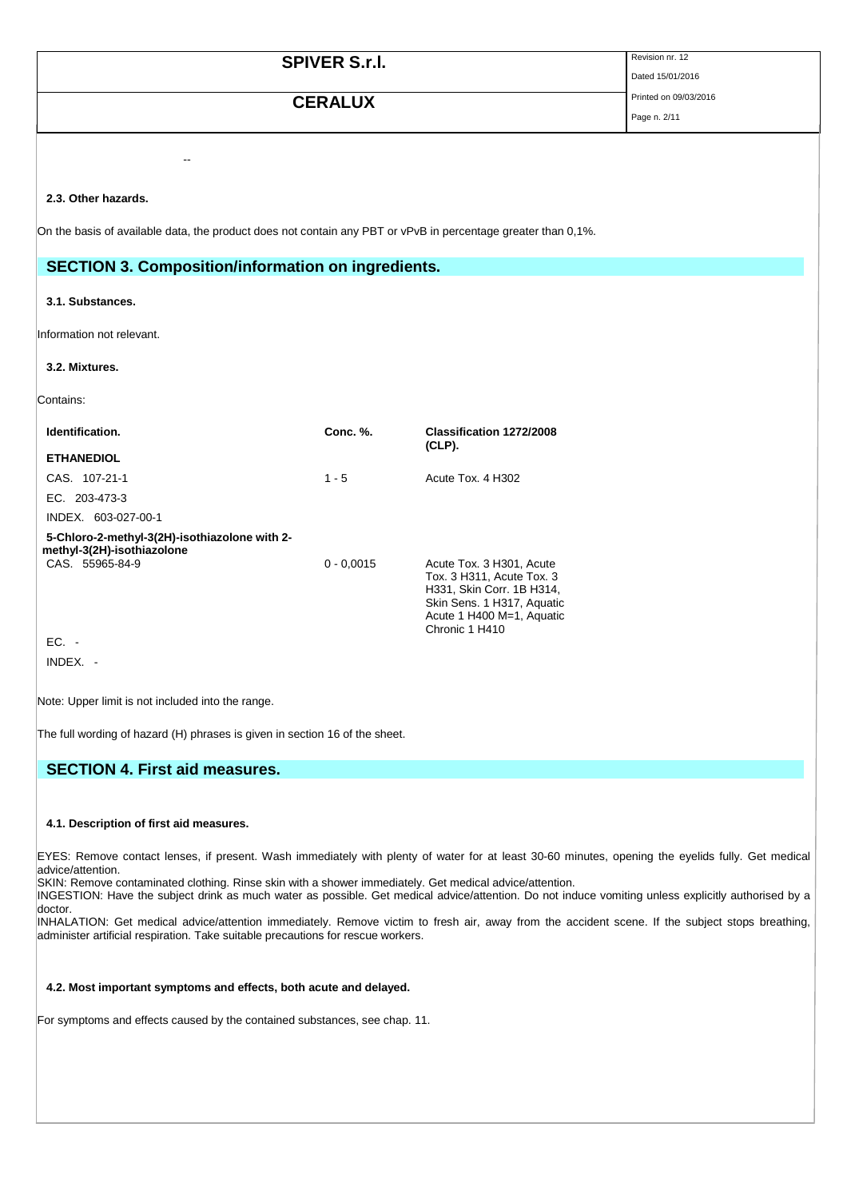|                                                           | <b>SPIVER S.r.I.</b>  |                                                                                                               | Revision nr. 12<br>Dated 15/01/2016 |
|-----------------------------------------------------------|-----------------------|---------------------------------------------------------------------------------------------------------------|-------------------------------------|
|                                                           | Printed on 09/03/2016 |                                                                                                               |                                     |
|                                                           | <b>CERALUX</b>        |                                                                                                               | Page n. 2/11                        |
|                                                           |                       |                                                                                                               |                                     |
|                                                           |                       |                                                                                                               |                                     |
| 2.3. Other hazards.                                       |                       |                                                                                                               |                                     |
|                                                           |                       | On the basis of available data, the product does not contain any PBT or vPvB in percentage greater than 0,1%. |                                     |
|                                                           |                       |                                                                                                               |                                     |
| <b>SECTION 3. Composition/information on ingredients.</b> |                       |                                                                                                               |                                     |
| 3.1. Substances.                                          |                       |                                                                                                               |                                     |
|                                                           |                       |                                                                                                               |                                     |
| Information not relevant.                                 |                       |                                                                                                               |                                     |
| 3.2. Mixtures.                                            |                       |                                                                                                               |                                     |
| Contains:                                                 |                       |                                                                                                               |                                     |
|                                                           |                       |                                                                                                               |                                     |
| Identification.                                           | <b>Conc. %.</b>       | Classification 1272/2008<br>(CLP).                                                                            |                                     |
| <b>ETHANEDIOL</b>                                         |                       |                                                                                                               |                                     |
| CAS. 107-21-1                                             | $1 - 5$               | Acute Tox. 4 H302                                                                                             |                                     |

0 - 0,0015 Acute Tox. 3 H301, Acute

Chronic 1 H410

Tox. 3 H311, Acute Tox. 3 H331, Skin Corr. 1B H314, Skin Sens. 1 H317, Aquatic Acute 1 H400 M=1, Aquatic

Note: Upper limit is not included into the range.

**5-Chloro-2-methyl-3(2H)-isothiazolone with 2-**

EC. 203-473-3 INDEX. 603-027-00-1

EC. - INDEX. -

**methyl-3(2H)-isothiazolone**

The full wording of hazard (H) phrases is given in section 16 of the sheet.

## **SECTION 4. First aid measures.**

### **4.1. Description of first aid measures.**

EYES: Remove contact lenses, if present. Wash immediately with plenty of water for at least 30-60 minutes, opening the eyelids fully. Get medical advice/attention.

SKIN: Remove contaminated clothing. Rinse skin with a shower immediately. Get medical advice/attention.

INGESTION: Have the subject drink as much water as possible. Get medical advice/attention. Do not induce vomiting unless explicitly authorised by a doctor.

INHALATION: Get medical advice/attention immediately. Remove victim to fresh air, away from the accident scene. If the subject stops breathing, administer artificial respiration. Take suitable precautions for rescue workers.

## **4.2. Most important symptoms and effects, both acute and delayed.**

For symptoms and effects caused by the contained substances, see chap. 11.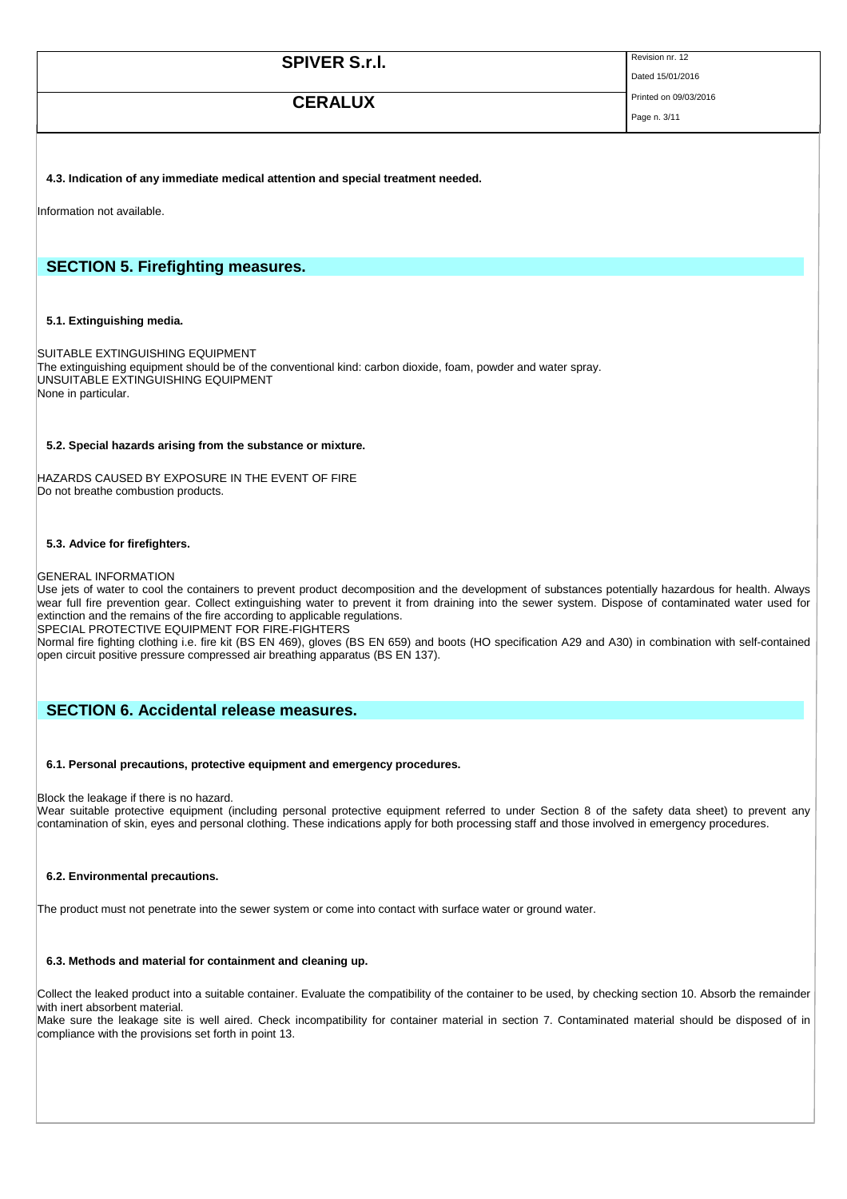| <b>SPIVER S.r.I.</b> | Revision nr. 12       |
|----------------------|-----------------------|
|                      | Dated 15/01/2016      |
| <b>CERALUX</b>       | Printed on 09/03/2016 |
|                      | Page n. 3/11          |

### **4.3. Indication of any immediate medical attention and special treatment needed.**

Information not available.

## **SECTION 5. Firefighting measures.**

## **5.1. Extinguishing media.**

SUITABLE EXTINGUISHING EQUIPMENT The extinguishing equipment should be of the conventional kind: carbon dioxide, foam, powder and water spray. UNSUITABLE EXTINGUISHING EQUIPMENT None in particular.

### **5.2. Special hazards arising from the substance or mixture.**

HAZARDS CAUSED BY EXPOSURE IN THE EVENT OF FIRE Do not breathe combustion products.

### **5.3. Advice for firefighters.**

#### GENERAL INFORMATION

Use jets of water to cool the containers to prevent product decomposition and the development of substances potentially hazardous for health. Always wear full fire prevention gear. Collect extinguishing water to prevent it from draining into the sewer system. Dispose of contaminated water used for extinction and the remains of the fire according to applicable regulations.

SPECIAL PROTECTIVE EQUIPMENT FOR FIRE-FIGHTERS

Normal fire fighting clothing i.e. fire kit (BS EN 469), gloves (BS EN 659) and boots (HO specification A29 and A30) in combination with self-contained open circuit positive pressure compressed air breathing apparatus (BS EN 137).

# **SECTION 6. Accidental release measures.**

### **6.1. Personal precautions, protective equipment and emergency procedures.**

### Block the leakage if there is no hazard.

Wear suitable protective equipment (including personal protective equipment referred to under Section 8 of the safety data sheet) to prevent any contamination of skin, eyes and personal clothing. These indications apply for both processing staff and those involved in emergency procedures.

#### **6.2. Environmental precautions.**

The product must not penetrate into the sewer system or come into contact with surface water or ground water.

#### **6.3. Methods and material for containment and cleaning up.**

Collect the leaked product into a suitable container. Evaluate the compatibility of the container to be used, by checking section 10. Absorb the remainder with inert absorbent material.

Make sure the leakage site is well aired. Check incompatibility for container material in section 7. Contaminated material should be disposed of in compliance with the provisions set forth in point 13.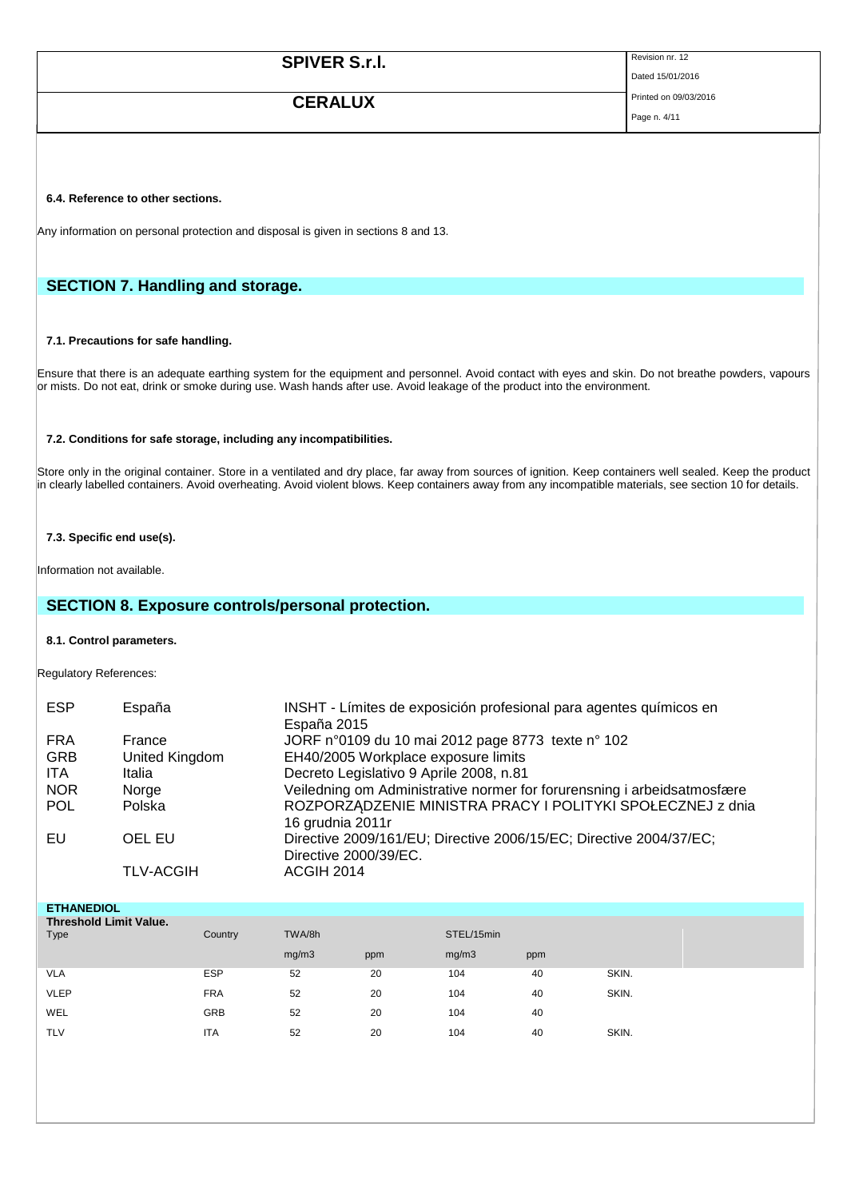| <b>SPIVER S.r.I.</b> | Revision nr. 12       |
|----------------------|-----------------------|
|                      | Dated 15/01/2016      |
| <b>CERALUX</b>       | Printed on 09/03/2016 |

Page n. 4/11

## **6.4. Reference to other sections.**

Any information on personal protection and disposal is given in sections 8 and 13.

# **SECTION 7. Handling and storage.**

## **7.1. Precautions for safe handling.**

Ensure that there is an adequate earthing system for the equipment and personnel. Avoid contact with eyes and skin. Do not breathe powders, vapours or mists. Do not eat, drink or smoke during use. Wash hands after use. Avoid leakage of the product into the environment.

### **7.2. Conditions for safe storage, including any incompatibilities.**

Store only in the original container. Store in a ventilated and dry place, far away from sources of ignition. Keep containers well sealed. Keep the product in clearly labelled containers. Avoid overheating. Avoid violent blows. Keep containers away from any incompatible materials, see section 10 for details.

## **7.3. Specific end use(s).**

Information not available.

# **SECTION 8. Exposure controls/personal protection.**

#### **8.1. Control parameters.**

Regulatory References:

| <b>ESP</b> | España           | INSHT - Límites de exposición profesional para agentes químicos en                          |
|------------|------------------|---------------------------------------------------------------------------------------------|
|            |                  | España 2015                                                                                 |
| <b>FRA</b> | France           | JORF n°0109 du 10 mai 2012 page 8773 texte n° 102                                           |
| <b>GRB</b> | United Kingdom   | EH40/2005 Workplace exposure limits                                                         |
| <b>ITA</b> | Italia           | Decreto Legislativo 9 Aprile 2008, n.81                                                     |
| <b>NOR</b> | Norge            | Veiledning om Administrative normer for forurensning i arbeidsatmosfære                     |
| <b>POL</b> | Polska           | ROZPORZĄDZENIE MINISTRA PRACY I POLITYKI SPOŁECZNEJ z dnia<br>16 grudnia 2011r              |
| EU         | OEL EU           | Directive 2009/161/EU; Directive 2006/15/EC; Directive 2004/37/EC;<br>Directive 2000/39/EC. |
|            | <b>TLV-ACGIH</b> | ACGIH 2014                                                                                  |

| <b>ETHANEDIOL</b>             |            |        |     |            |     |       |
|-------------------------------|------------|--------|-----|------------|-----|-------|
| <b>Threshold Limit Value.</b> |            |        |     |            |     |       |
| <b>Type</b>                   | Country    | TWA/8h |     | STEL/15min |     |       |
|                               |            | mg/m3  | ppm | mg/m3      | ppm |       |
| <b>VLA</b>                    | <b>ESP</b> | 52     | 20  | 104        | 40  | SKIN. |
| <b>VLEP</b>                   | <b>FRA</b> | 52     | 20  | 104        | 40  | SKIN. |
| WEL                           | <b>GRB</b> | 52     | 20  | 104        | 40  |       |
| <b>TLV</b>                    | <b>ITA</b> | 52     | 20  | 104        | 40  | SKIN. |
|                               |            |        |     |            |     |       |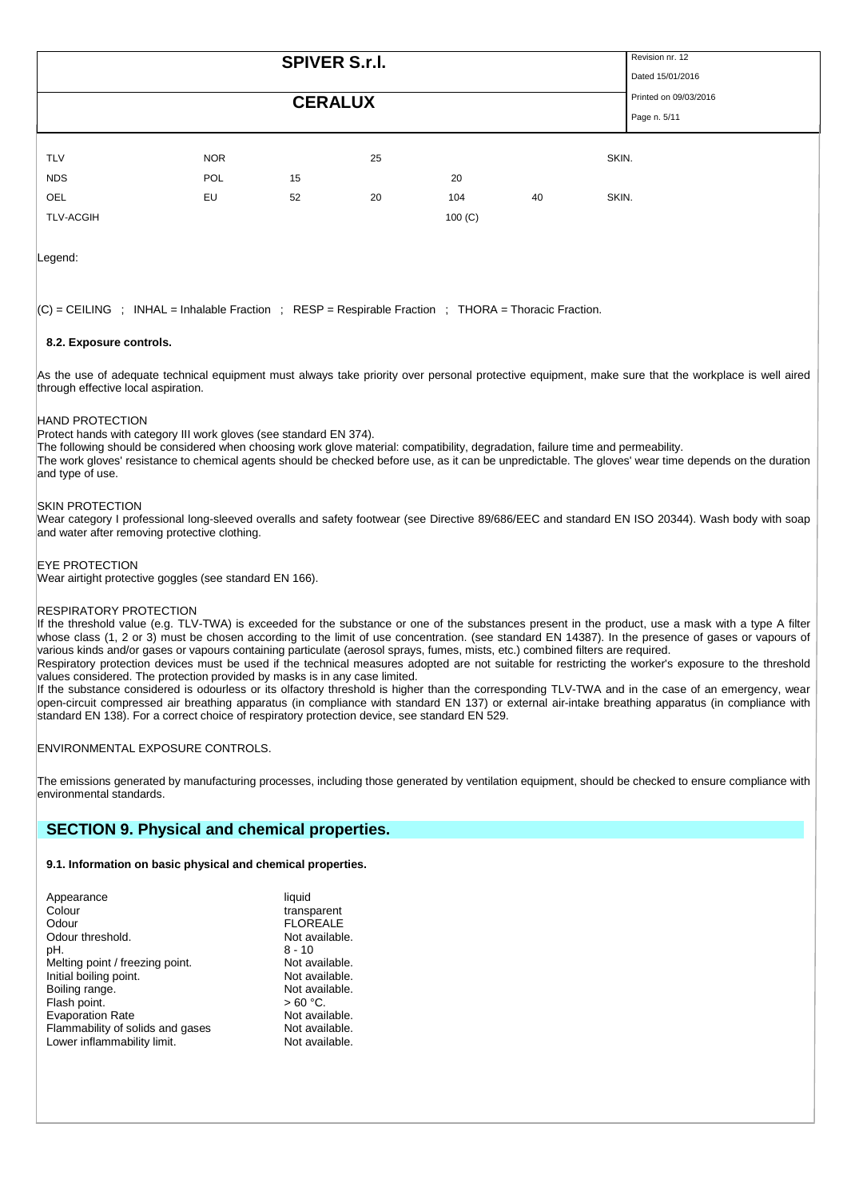|            |            |                | <b>SPIVER S.r.l.</b> |     |    |       | Revision nr. 12<br>Dated 15/01/2016   |
|------------|------------|----------------|----------------------|-----|----|-------|---------------------------------------|
|            |            | <b>CERALUX</b> |                      |     |    |       | Printed on 09/03/2016<br>Page n. 5/11 |
| <b>TLV</b> | <b>NOR</b> |                | 25                   |     |    | SKIN. |                                       |
| <b>NDS</b> | POL        | 15             |                      | 20  |    |       |                                       |
| OEL        | EU         | 52             | 20                   | 104 | 40 | SKIN. |                                       |

Legend:

 $|C|$  = CEILING : INHAL = Inhalable Fraction ; RESP = Respirable Fraction ; THORA = Thoracic Fraction.

TLV-ACGIH 100 (C)

### **8.2. Exposure controls.**

As the use of adequate technical equipment must always take priority over personal protective equipment, make sure that the workplace is well aired through effective local aspiration.

### HAND PROTECTION

Protect hands with category III work gloves (see standard EN 374).

The following should be considered when choosing work glove material: compatibility, degradation, failure time and permeability. The work gloves' resistance to chemical agents should be checked before use, as it can be unpredictable. The gloves' wear time depends on the duration and type of use.

### SKIN PROTECTION

Wear category I professional long-sleeved overalls and safety footwear (see Directive 89/686/EEC and standard EN ISO 20344). Wash body with soap and water after removing protective clothing.

### EYE PROTECTION

Wear airtight protective goggles (see standard EN 166).

### RESPIRATORY PROTECTION

If the threshold value (e.g. TLV-TWA) is exceeded for the substance or one of the substances present in the product, use a mask with a type A filter whose class (1, 2 or 3) must be chosen according to the limit of use concentration. (see standard EN 14387). In the presence of gases or vapours of various kinds and/or gases or vapours containing particulate (aerosol sprays, fumes, mists, etc.) combined filters are required.

Respiratory protection devices must be used if the technical measures adopted are not suitable for restricting the worker's exposure to the threshold values considered. The protection provided by masks is in any case limited.

If the substance considered is odourless or its olfactory threshold is higher than the corresponding TLV-TWA and in the case of an emergency, wear open-circuit compressed air breathing apparatus (in compliance with standard EN 137) or external air-intake breathing apparatus (in compliance with standard EN 138). For a correct choice of respiratory protection device, see standard EN 529.

ENVIRONMENTAL EXPOSURE CONTROLS.

The emissions generated by manufacturing processes, including those generated by ventilation equipment, should be checked to ensure compliance with environmental standards.

## **SECTION 9. Physical and chemical properties.**

## **9.1. Information on basic physical and chemical properties.**

| Appearance                       | liquid          |
|----------------------------------|-----------------|
| Colour                           | transparent     |
| Odour                            | <b>FLOREALE</b> |
| Odour threshold.                 | Not available.  |
| pH.                              | $8 - 10$        |
| Melting point / freezing point.  | Not available.  |
| Initial boiling point.           | Not available.  |
| Boiling range.                   | Not available.  |
| Flash point.                     | $>60 °C$ .      |
| <b>Evaporation Rate</b>          | Not available.  |
| Flammability of solids and gases | Not available.  |
| Lower inflammability limit.      | Not available.  |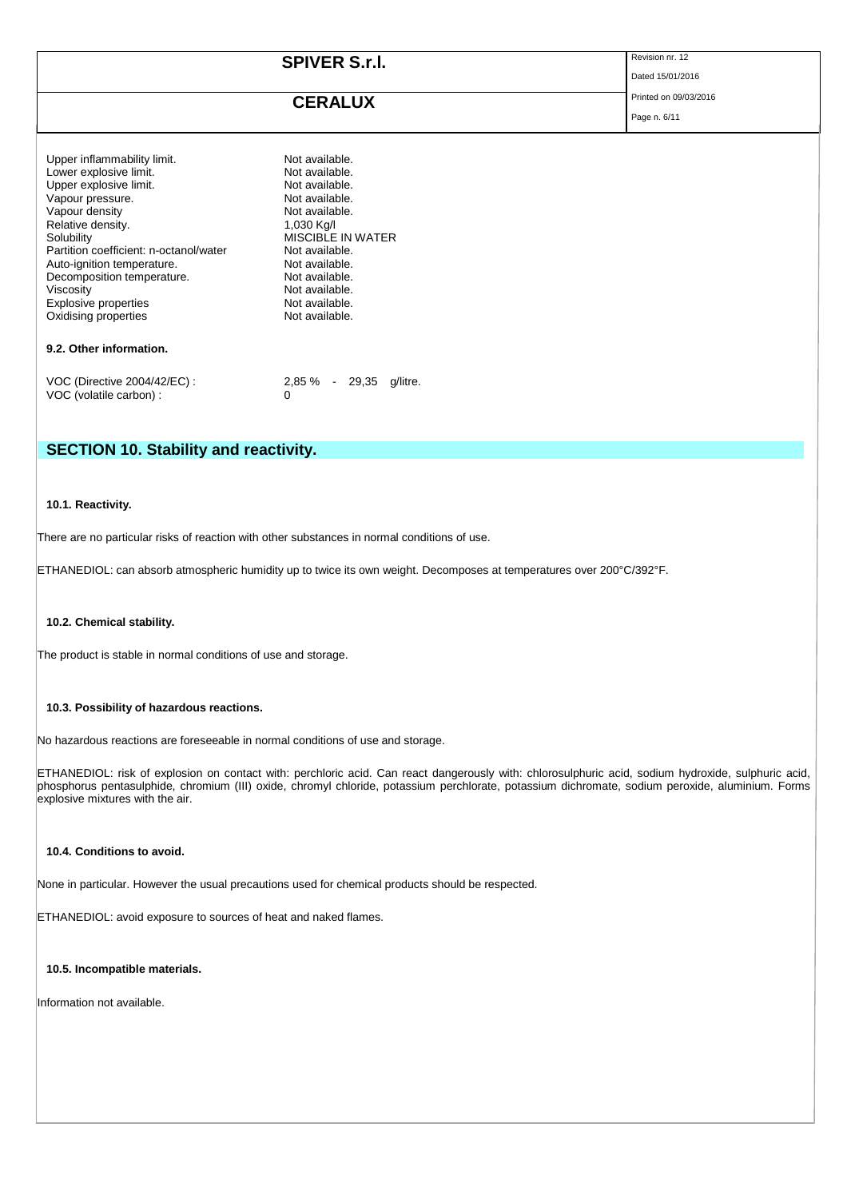| <b>SPIVER S.r.I.</b> | Revision nr. 12       |
|----------------------|-----------------------|
|                      | Dated 15/01/2016      |
| <b>CERALUX</b>       | Printed on 09/03/2016 |
|                      | Page n. 6/11          |

| Upper inflammability limit.<br>Lower explosive limit.<br>Upper explosive limit.<br>Vapour pressure.<br>Vapour density<br>Relative density.<br>Solubility<br>Partition coefficient: n-octanol/water<br>Auto-ignition temperature.<br>Decomposition temperature.<br>Viscosity<br><b>Explosive properties</b><br>Oxidising properties | Not available.<br>Not available.<br>Not available.<br>Not available.<br>Not available.<br>1,030 Kg/I<br>MISCIBI E IN WATER<br>Not available.<br>Not available.<br>Not available.<br>Not available.<br>Not available.<br>Not available. |
|------------------------------------------------------------------------------------------------------------------------------------------------------------------------------------------------------------------------------------------------------------------------------------------------------------------------------------|----------------------------------------------------------------------------------------------------------------------------------------------------------------------------------------------------------------------------------------|
| 9.2. Other information.                                                                                                                                                                                                                                                                                                            |                                                                                                                                                                                                                                        |
|                                                                                                                                                                                                                                                                                                                                    |                                                                                                                                                                                                                                        |

| VOC (Directive 2004/42/EC) : | 2,85 % - 29,35 q/litre. |  |  |
|------------------------------|-------------------------|--|--|
| VOC (volatile carbon) :      |                         |  |  |

# **SECTION 10. Stability and reactivity.**

## **10.1. Reactivity.**

There are no particular risks of reaction with other substances in normal conditions of use.

ETHANEDIOL: can absorb atmospheric humidity up to twice its own weight. Decomposes at temperatures over 200°C/392°F.

### **10.2. Chemical stability.**

The product is stable in normal conditions of use and storage.

### **10.3. Possibility of hazardous reactions.**

No hazardous reactions are foreseeable in normal conditions of use and storage.

ETHANEDIOL: risk of explosion on contact with: perchloric acid. Can react dangerously with: chlorosulphuric acid, sodium hydroxide, sulphuric acid, phosphorus pentasulphide, chromium (III) oxide, chromyl chloride, potassium perchlorate, potassium dichromate, sodium peroxide, aluminium. Forms explosive mixtures with the air.

## **10.4. Conditions to avoid.**

None in particular. However the usual precautions used for chemical products should be respected.

ETHANEDIOL: avoid exposure to sources of heat and naked flames.

## **10.5. Incompatible materials.**

Information not available.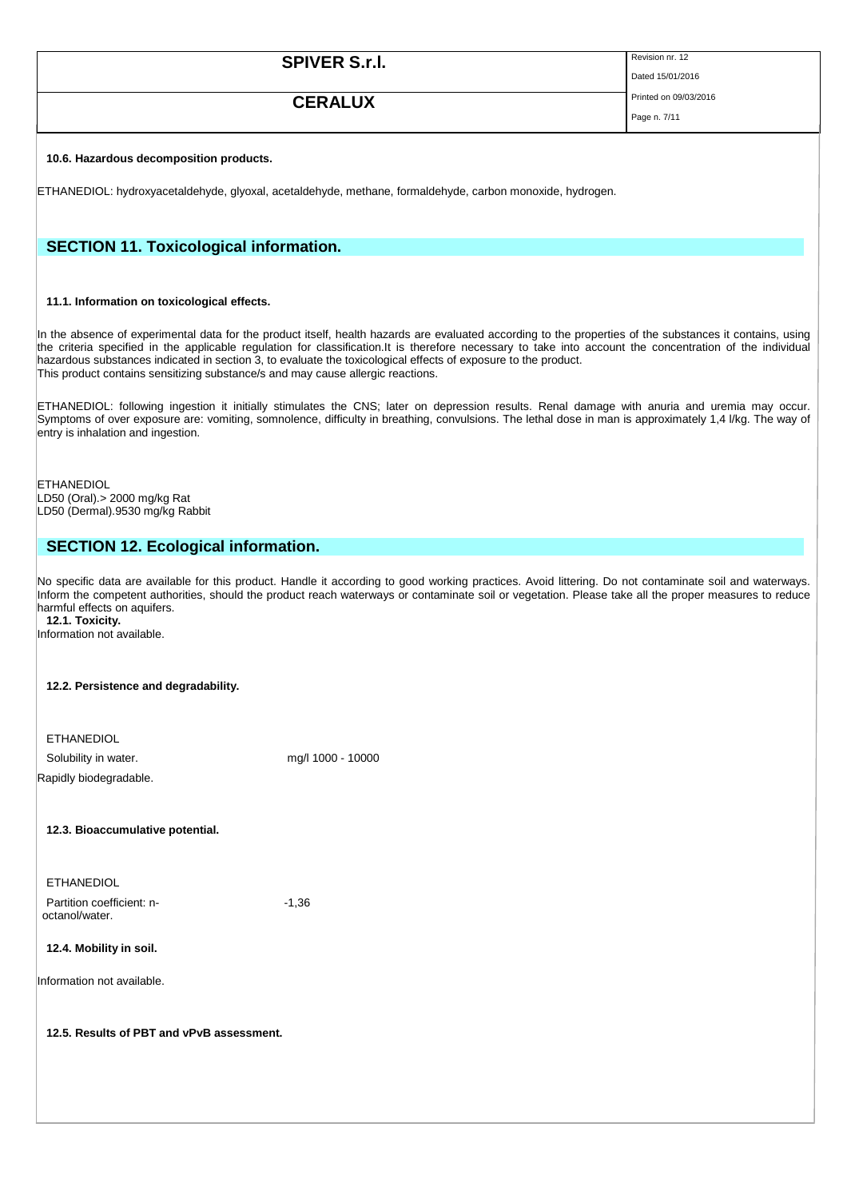| <b>SPIVER S.r.l.</b> | Revision nr. 12       |
|----------------------|-----------------------|
|                      | Dated 15/01/2016      |
| <b>CERALUX</b>       | Printed on 09/03/2016 |
|                      | Page n. 7/11          |

### **10.6. Hazardous decomposition products.**

ETHANEDIOL: hydroxyacetaldehyde, glyoxal, acetaldehyde, methane, formaldehyde, carbon monoxide, hydrogen.

# **SECTION 11. Toxicological information.**

#### **11.1. Information on toxicological effects.**

In the absence of experimental data for the product itself, health hazards are evaluated according to the properties of the substances it contains, using the criteria specified in the applicable regulation for classification.It is therefore necessary to take into account the concentration of the individual hazardous substances indicated in section 3, to evaluate the toxicological effects of exposure to the product. This product contains sensitizing substance/s and may cause allergic reactions.

ETHANEDIOL: following ingestion it initially stimulates the CNS; later on depression results. Renal damage with anuria and uremia may occur. Symptoms of over exposure are: vomiting, somnolence, difficulty in breathing, convulsions. The lethal dose in man is approximately 1,4 l/kg. The way of entry is inhalation and ingestion.

**ETHANEDIOL** LD50 (Oral).> 2000 mg/kg Rat LD50 (Dermal).9530 mg/kg Rabbit

# **SECTION 12. Ecological information.**

No specific data are available for this product. Handle it according to good working practices. Avoid littering. Do not contaminate soil and waterways. Inform the competent authorities, should the product reach waterways or contaminate soil or vegetation. Please take all the proper measures to reduce harmful effects on aquifers.

**12.1. Toxicity.**

Information not available.

### **12.2. Persistence and degradability.**

| <b>ETHANEDIOL</b>      |                   |
|------------------------|-------------------|
| Solubility in water.   | mg/l 1000 - 10000 |
| Rapidly biodegradable. |                   |

**12.3. Bioaccumulative potential.**

ETHANEDIOL Partition coefficient: noctanol/water.

-1,36

### **12.4. Mobility in soil.**

Information not available.

### **12.5. Results of PBT and vPvB assessment.**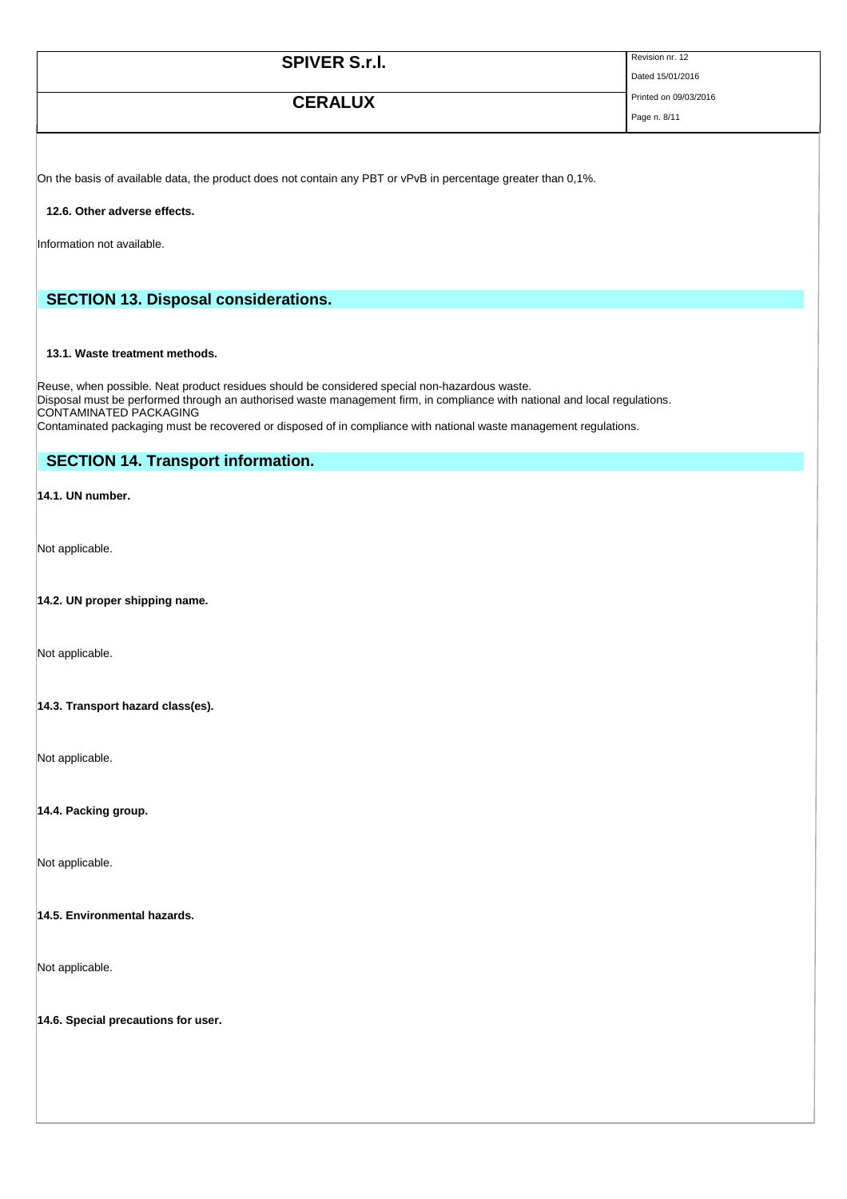| <b>SPIVER S.r.I.</b> | Revision nr. 12       |
|----------------------|-----------------------|
|                      | Dated 15/01/2016      |
| <b>CERALUX</b>       | Printed on 09/03/2016 |
|                      | Page n. 8/11          |

On the basis of available data, the product does not contain any PBT or vPvB in percentage greater than 0,1%.

### **12.6. Other adverse effects.**

Information not available.

# **SECTION 13. Disposal considerations.**

## **13.1. Waste treatment methods.**

Reuse, when possible. Neat product residues should be considered special non-hazardous waste. Disposal must be performed through an authorised waste management firm, in compliance with national and local regulations. CONTAMINATED PACKAGING

Contaminated packaging must be recovered or disposed of in compliance with national waste management regulations.

# **SECTION 14. Transport information.**

**14.1. UN number.** 

Not applicable.

## **14.2. UN proper shipping name.**

Not applicable.

### **14.3. Transport hazard class(es).**

Not applicable.

**14.4. Packing group.** 

Not applicable.

### **14.5. Environmental hazards.**

Not applicable.

**14.6. Special precautions for user.**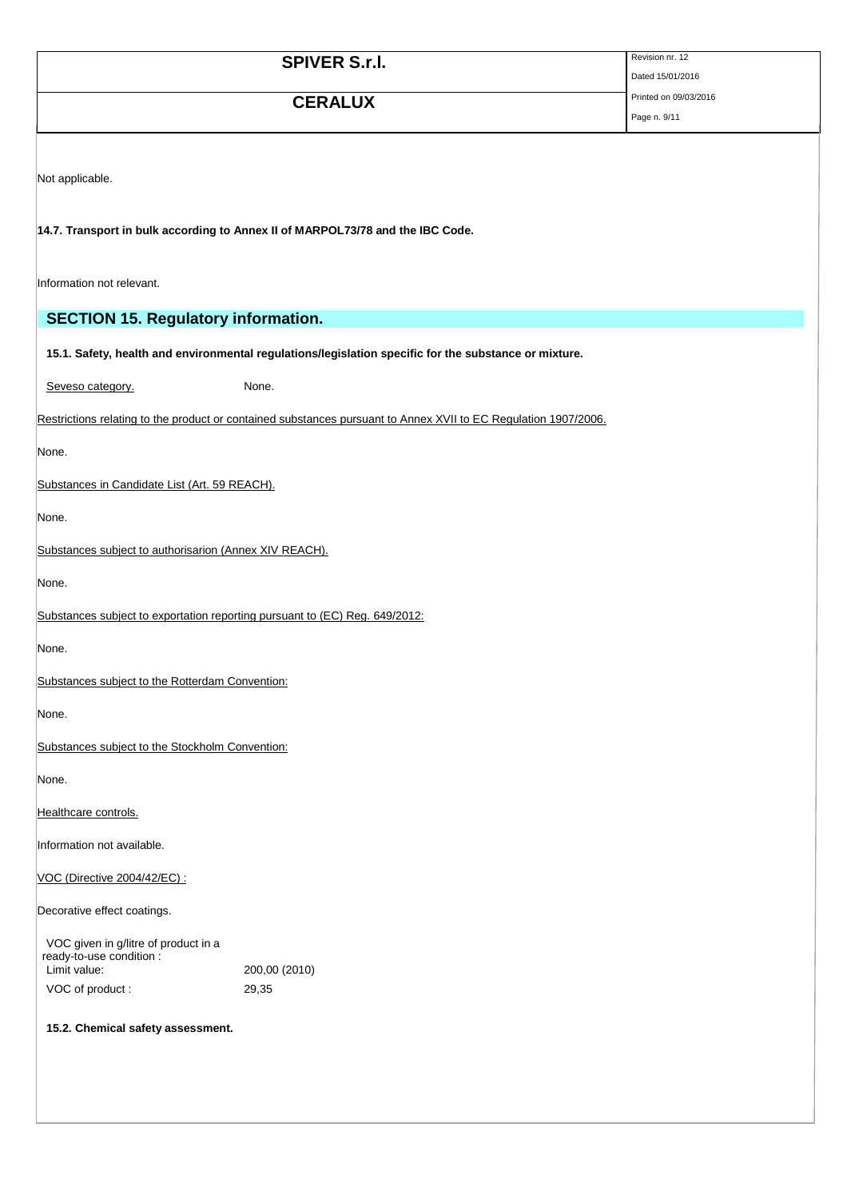|                                                                                  | <b>SPIVER S.r.I.</b>                                                                                            | Revision nr. 12                           |
|----------------------------------------------------------------------------------|-----------------------------------------------------------------------------------------------------------------|-------------------------------------------|
|                                                                                  |                                                                                                                 | Dated 15/01/2016<br>Printed on 09/03/2016 |
|                                                                                  | <b>CERALUX</b>                                                                                                  | Page n. 9/11                              |
|                                                                                  |                                                                                                                 |                                           |
| Not applicable.                                                                  |                                                                                                                 |                                           |
|                                                                                  |                                                                                                                 |                                           |
|                                                                                  | 14.7. Transport in bulk according to Annex II of MARPOL73/78 and the IBC Code.                                  |                                           |
|                                                                                  |                                                                                                                 |                                           |
| Information not relevant.                                                        |                                                                                                                 |                                           |
| <b>SECTION 15. Regulatory information.</b>                                       |                                                                                                                 |                                           |
|                                                                                  | 15.1. Safety, health and environmental regulations/legislation specific for the substance or mixture.           |                                           |
| Seveso category.                                                                 | None.                                                                                                           |                                           |
|                                                                                  | Restrictions relating to the product or contained substances pursuant to Annex XVII to EC Regulation 1907/2006. |                                           |
|                                                                                  |                                                                                                                 |                                           |
| None.                                                                            |                                                                                                                 |                                           |
| Substances in Candidate List (Art. 59 REACH).                                    |                                                                                                                 |                                           |
| None.                                                                            |                                                                                                                 |                                           |
| Substances subject to authorisarion (Annex XIV REACH).                           |                                                                                                                 |                                           |
| None.                                                                            |                                                                                                                 |                                           |
| Substances subject to exportation reporting pursuant to (EC) Reg. 649/2012:      |                                                                                                                 |                                           |
| None.                                                                            |                                                                                                                 |                                           |
| Substances subiect to the Rotterdam Convention:                                  |                                                                                                                 |                                           |
| None.                                                                            |                                                                                                                 |                                           |
| Substances subject to the Stockholm Convention:                                  |                                                                                                                 |                                           |
| None.                                                                            |                                                                                                                 |                                           |
| Healthcare controls.                                                             |                                                                                                                 |                                           |
| Information not available.                                                       |                                                                                                                 |                                           |
| VOC (Directive 2004/42/EC) :                                                     |                                                                                                                 |                                           |
| Decorative effect coatings.                                                      |                                                                                                                 |                                           |
|                                                                                  |                                                                                                                 |                                           |
| VOC given in g/litre of product in a<br>ready-to-use condition :<br>Limit value: | 200,00 (2010)                                                                                                   |                                           |
| VOC of product:                                                                  | 29,35                                                                                                           |                                           |
| 15.2. Chemical safety assessment.                                                |                                                                                                                 |                                           |
|                                                                                  |                                                                                                                 |                                           |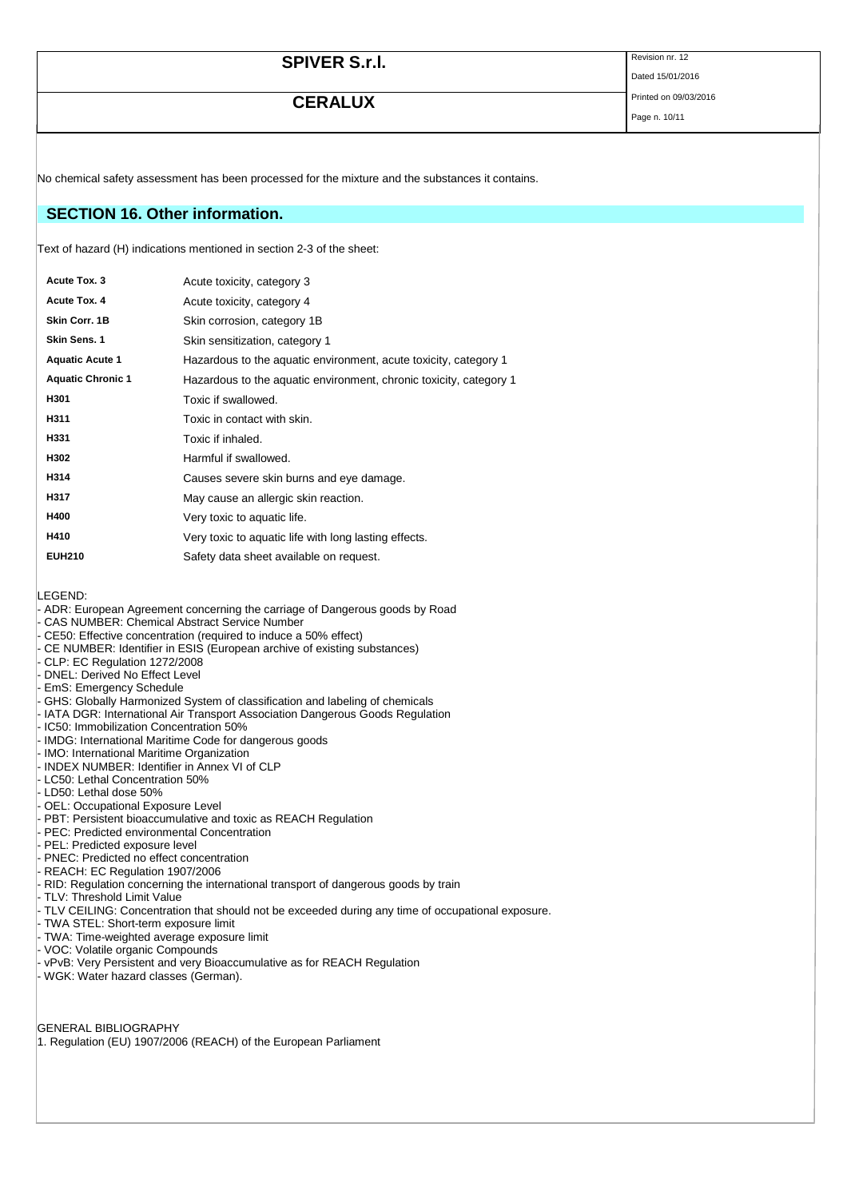| <b>SPIVER S.r.I.</b> | Revision nr. 12       |
|----------------------|-----------------------|
|                      | Dated 15/01/2016      |
| <b>CERALUX</b>       | Printed on 09/03/2016 |
|                      | Page n. 10/11         |

No chemical safety assessment has been processed for the mixture and the substances it contains.

## **SECTION 16. Other information.**

Text of hazard (H) indications mentioned in section 2-3 of the sheet:

| Acute Tox. 3             | Acute toxicity, category 3                                         |
|--------------------------|--------------------------------------------------------------------|
| Acute Tox. 4             | Acute toxicity, category 4                                         |
| Skin Corr. 1B            | Skin corrosion, category 1B                                        |
| Skin Sens. 1             | Skin sensitization, category 1                                     |
| <b>Aquatic Acute 1</b>   | Hazardous to the aquatic environment, acute toxicity, category 1   |
| <b>Aquatic Chronic 1</b> | Hazardous to the aquatic environment, chronic toxicity, category 1 |
| H301                     | Toxic if swallowed.                                                |
| H311                     | Toxic in contact with skin.                                        |
| H331                     | Toxic if inhaled.                                                  |
| H302                     | Harmful if swallowed.                                              |
| H314                     | Causes severe skin burns and eye damage.                           |
| H317                     | May cause an allergic skin reaction.                               |
| H400                     | Very toxic to aquatic life.                                        |
| H410                     | Very toxic to aquatic life with long lasting effects.              |
| <b>EUH210</b>            | Safety data sheet available on request.                            |
|                          |                                                                    |

LEGEND:

- ADR: European Agreement concerning the carriage of Dangerous goods by Road
- CAS NUMBER: Chemical Abstract Service Number
- CE50: Effective concentration (required to induce a 50% effect)
- CE NUMBER: Identifier in ESIS (European archive of existing substances)
- CLP: EC Regulation 1272/2008
- DNEL: Derived No Effect Level
- EmS: Emergency Schedule
- GHS: Globally Harmonized System of classification and labeling of chemicals
- IATA DGR: International Air Transport Association Dangerous Goods Regulation
- IC50: Immobilization Concentration 50%
- IMDG: International Maritime Code for dangerous goods
- IMO: International Maritime Organization
- INDEX NUMBER: Identifier in Annex VI of CLP
- LC50: Lethal Concentration 50%
- LD50: Lethal dose 50%
- OEL: Occupational Exposure Level
- PBT: Persistent bioaccumulative and toxic as REACH Regulation
- PEC: Predicted environmental Concentration
- PEL: Predicted exposure level
- PNEC: Predicted no effect concentration
- REACH: EC Regulation 1907/2006
- RID: Regulation concerning the international transport of dangerous goods by train
- TLV: Threshold Limit Value
- TLV CEILING: Concentration that should not be exceeded during any time of occupational exposure.
- TWA STEL: Short-term exposure limit
- TWA: Time-weighted average exposure limit
- VOC: Volatile organic Compounds
- vPvB: Very Persistent and very Bioaccumulative as for REACH Regulation
- WGK: Water hazard classes (German).

GENERAL BIBLIOGRAPHY 1. Regulation (EU) 1907/2006 (REACH) of the European Parliament